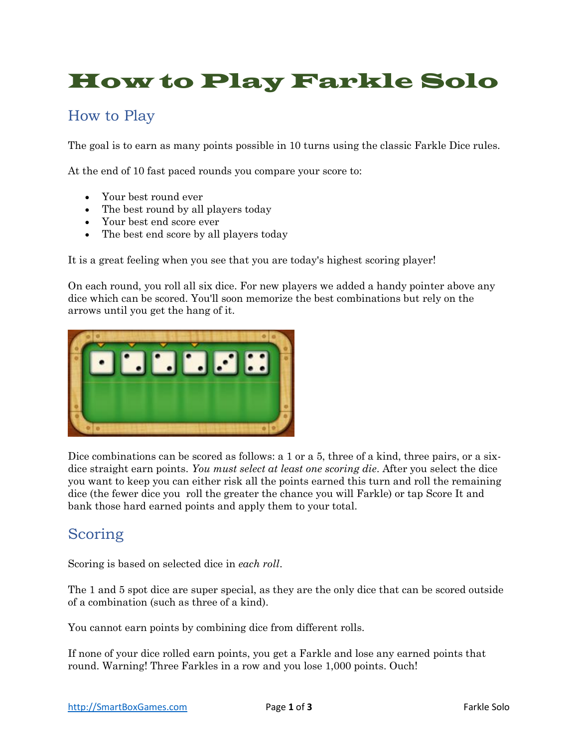# How to Play Farkle Solo

### How to Play

The goal is to earn as many points possible in 10 turns using the classic Farkle Dice rules.

At the end of 10 fast paced rounds you compare your score to:

- Your best round ever
- The best round by all players today
- Your best end score ever
- The best end score by all players today

It is a great feeling when you see that you are today's highest scoring player!

On each round, you roll all six dice. For new players we added a handy pointer above any dice which can be scored. You'll soon memorize the best combinations but rely on the arrows until you get the hang of it.



Dice combinations can be scored as follows: a 1 or a 5, three of a kind, three pairs, or a sixdice straight earn points. *You must select at least one scoring die*. After you select the dice you want to keep you can either risk all the points earned this turn and roll the remaining dice (the fewer dice you roll the greater the chance you will Farkle) or tap Score It and bank those hard earned points and apply them to your total.

#### Scoring

Scoring is based on selected dice in *each roll*.

The 1 and 5 spot dice are super special, as they are the only dice that can be scored outside of a combination (such as three of a kind).

You cannot earn points by combining dice from different rolls.

If none of your dice rolled earn points, you get a Farkle and lose any earned points that round. Warning! Three Farkles in a row and you lose 1,000 points. Ouch!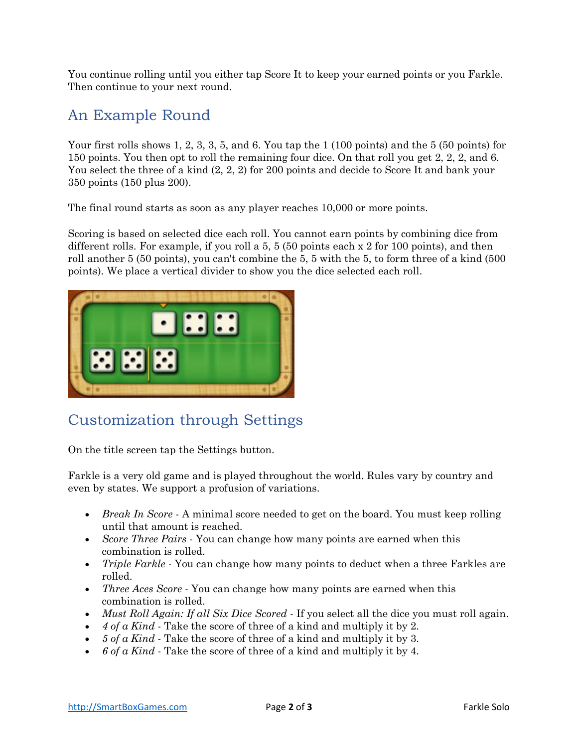You continue rolling until you either tap Score It to keep your earned points or you Farkle. Then continue to your next round.

#### An Example Round

Your first rolls shows 1, 2, 3, 3, 5, and 6. You tap the 1 (100 points) and the 5 (50 points) for 150 points. You then opt to roll the remaining four dice. On that roll you get 2, 2, 2, and 6. You select the three of a kind  $(2, 2, 2)$  for 200 points and decide to Score It and bank your 350 points (150 plus 200).

The final round starts as soon as any player reaches 10,000 or more points.

Scoring is based on selected dice each roll. You cannot earn points by combining dice from different rolls. For example, if you roll a 5, 5 (50 points each x 2 for 100 points), and then roll another 5 (50 points), you can't combine the 5, 5 with the 5, to form three of a kind (500 points). We place a vertical divider to show you the dice selected each roll.



## Customization through Settings

On the title screen tap the Settings button.

Farkle is a very old game and is played throughout the world. Rules vary by country and even by states. We support a profusion of variations.

- *Break In Score* A minimal score needed to get on the board. You must keep rolling until that amount is reached.
- *Score Three Pairs* You can change how many points are earned when this combination is rolled.
- *Triple Farkle* You can change how many points to deduct when a three Farkles are rolled.
- *Three Aces Score* You can change how many points are earned when this combination is rolled.
- *Must Roll Again: If all Six Dice Scored* If you select all the dice you must roll again.
- *4 of a Kind* Take the score of three of a kind and multiply it by 2.
- *5 of a Kind* Take the score of three of a kind and multiply it by 3.
- *6 of a Kind* Take the score of three of a kind and multiply it by 4.